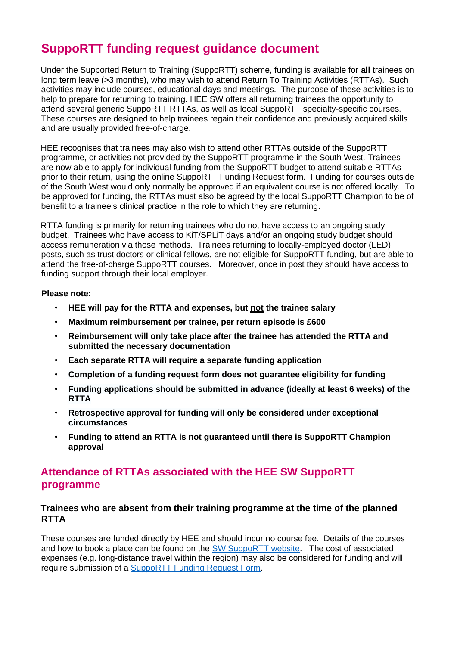# **SuppoRTT funding request guidance document**

Under the Supported Return to Training (SuppoRTT) scheme, funding is available for **all** trainees on long term leave (>3 months), who may wish to attend Return To Training Activities (RTTAs). Such activities may include courses, educational days and meetings. The purpose of these activities is to help to prepare for returning to training. HEE SW offers all returning trainees the opportunity to attend several generic SuppoRTT RTTAs, as well as local SuppoRTT specialty-specific courses. These courses are designed to help trainees regain their confidence and previously acquired skills and are usually provided free-of-charge.

HEE recognises that trainees may also wish to attend other RTTAs outside of the SuppoRTT programme, or activities not provided by the SuppoRTT programme in the South West. Trainees are now able to apply for individual funding from the SuppoRTT budget to attend suitable RTTAs prior to their return, using the online SuppoRTT Funding Request form. Funding for courses outside of the South West would only normally be approved if an equivalent course is not offered locally. To be approved for funding, the RTTAs must also be agreed by the local SuppoRTT Champion to be of benefit to a trainee's clinical practice in the role to which they are returning.

RTTA funding is primarily for returning trainees who do not have access to an ongoing study budget. Trainees who have access to KiT/SPLiT days and/or an ongoing study budget should access remuneration via those methods. Trainees returning to locally-employed doctor (LED) posts, such as trust doctors or clinical fellows, are not eligible for SuppoRTT funding, but are able to attend the free-of-charge SuppoRTT courses. Moreover, once in post they should have access to funding support through their local employer.

#### **Please note:**

- **HEE will pay for the RTTA and expenses, but not the trainee salary**
- **Maximum reimbursement per trainee, per return episode is £600**
- **Reimbursement will only take place after the trainee has attended the RTTA and submitted the necessary documentation**
- **Each separate RTTA will require a separate funding application**
- **Completion of a funding request form does not guarantee eligibility for funding**
- **Funding applications should be submitted in advance (ideally at least 6 weeks) of the RTTA**
- **Retrospective approval for funding will only be considered under exceptional circumstances**
- **Funding to attend an RTTA is not guaranteed until there is SuppoRTT Champion approval**

# **Attendance of RTTAs associated with the HEE SW SuppoRTT programme**

#### **Trainees who are absent from their training programme at the time of the planned RTTA**

These courses are funded directly by HEE and should incur no course fee. Details of the courses and how to book a place can be found on the [SW SuppoRTT website.](https://www.peninsuladeanery.nhs.uk/about-us/supportt-2/) The cost of associated expenses (e.g. long-distance travel within the region) may also be considered for funding and will require submission of a [SuppoRTT Funding Request Form.](https://healtheducationyh.onlinesurveys.ac.uk/sw-return-to-training-activity-rtta-day-funding-applicat)